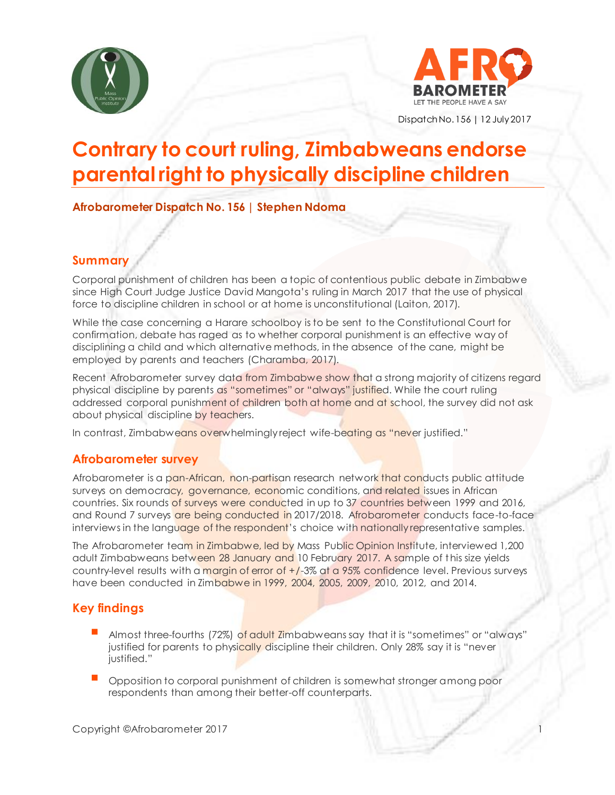



Dispatch No. 156 | 12 July2017

# **Contrary to court ruling, Zimbabweans endorse parental right to physically discipline children**

**Afrobarometer Dispatch No. 156 | Stephen Ndoma**

# **Summary**

Corporal punishment of children has been a topic of contentious public debate in Zimbabwe since High Court Judge Justice David Mangota's ruling in March 2017 that the use of physical force to discipline children in school or at home is unconstitutional (Laiton, 2017).

While the case concerning a Harare schoolboy is to be sent to the Constitutional Court for confirmation, debate has raged as to whether corporal punishment is an effective way of disciplining a child and which alternative methods, in the absence of the cane, might be employed by parents and teachers (Charamba, 2017).

Recent Afrobarometer survey data from Zimbabwe show that a strong majority of citizens regard physical discipline by parents as "sometimes" or "always" justified. While the court ruling addressed corporal punishment of children both at home and at school, the survey did not ask about physical discipline by teachers.

In contrast, Zimbabweans overwhelmingly reject wife-beating as "never justified."

## **Afrobarometer survey**

Afrobarometer is a pan-African, non-partisan research network that conducts public attitude surveys on democracy, governance, economic conditions, and related issues in African countries. Six rounds of surveys were conducted in up to 37 countries between 1999 and 2016, and Round 7 surveys are being conducted in 2017/2018. Afrobarometer conducts face-to-face interviews in the language of the respondent's choice with nationally representative samples.

The Afrobarometer team in Zimbabwe, led by Mass Public Opinion Institute, interviewed 1,200 adult Zimbabweans between 28 January and 10 February 2017. A sample of this size yields country-level results with a margin of error of  $+/3\%$  at a 95% confidence level. Previous surveys have been conducted in Zimbabwe in 1999, 2004, 2005, 2009, 2010, 2012, and 2014.

# **Key findings**

- Almost three-fourths (72%) of adult Zimbabweans say that it is "sometimes" or "always" justified for parents to physically discipline their children. Only 28% say it is "never iustified."
- Opposition to corporal punishment of children is somewhat stronger among poor respondents than among their better-off counterparts.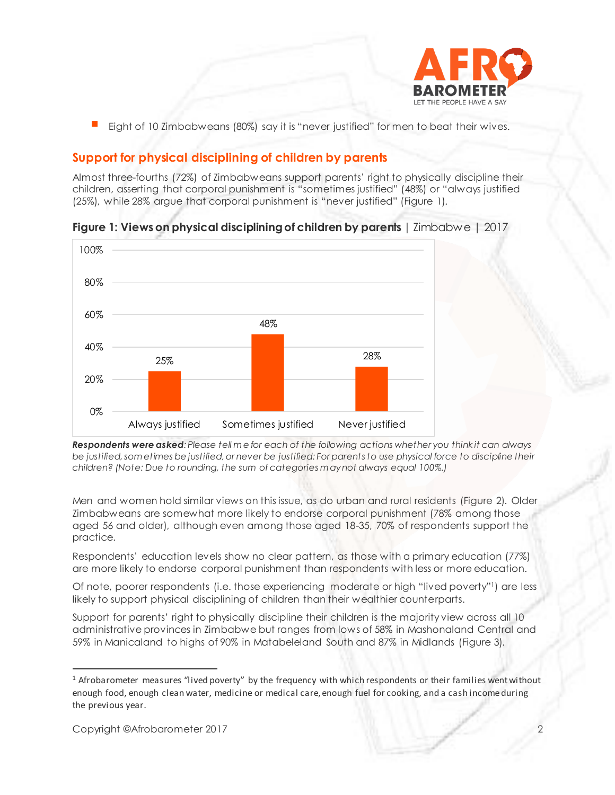

Eight of 10 Zimbabweans (80%) say it is "never justified" for men to beat their wives.

# **Support for physical disciplining of children by parents**

Almost three-fourths (72%) of Zimbabweans support parents' right to physically discipline their children, asserting that corporal punishment is "sometimes justified" (48%) or "always justified (25%), while 28% argue that corporal punishment is "never justified" (Figure 1).



**Figure 1: Views on physical disciplining of children by parents** | Zimbabwe | 2017

*Respondents were asked: Please tell m e for each of the following actions whether you think it can always be justified, som etimes be justified, or never be justified: For parents to use physical force to discipline their children? (Note: Due to rounding, the sum of categories m ay not always equal 100%.)*

Men and women hold similar views on this issue, as do urban and rural residents (Figure 2). Older Zimbabweans are somewhat more likely to endorse corporal punishment (78% among those aged 56 and older), although even among those aged 18-35, 70% of respondents support the practice.

Respondents' education levels show no clear pattern, as those with a primary education (77%) are more likely to endorse corporal punishment than respondents with less or more education.

Of note, poorer respondents (i.e. those experiencing moderate or high "lived poverty"1) are less likely to support physical disciplining of children than their wealthier counterparts.

Support for parents' right to physically discipline their children is the majority view across all 10 administrative provinces in Zimbabwe but ranges from lows of 58% in Mashonaland Central and 59% in Manicaland to highs of 90% in Matabeleland South and 87% in Midlands (Figure 3).

<sup>&</sup>lt;sup>1</sup> Afrobarometer measures "lived poverty" by the frequency with which respondents or their families went without enough food, enough clean water, medicine or medical care, enough fuel for cooking, and a cash income during the previous year.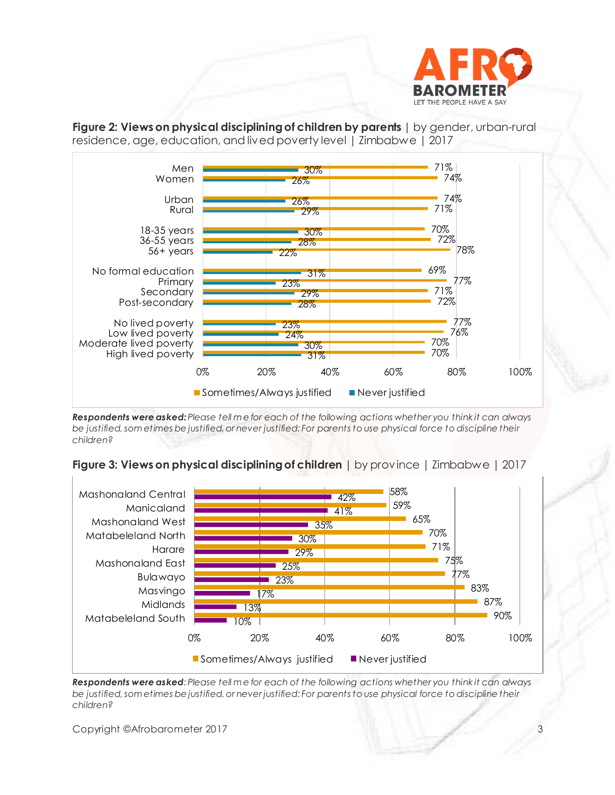

**Figure 2: Views on physical discipliningof children by parents** | by gender, urban-rural residence, age, education, and lived poverty level | Zimbabwe | 2017



*Respondents were asked: Please tell m e for each of the following actions whether you think it can always be justified, som etimes be justified, or never justified: For parents to use physical force to discipline their children?*





*Respondents were asked: Please tell m e for each of the following actions whether you think it can always be justified, som etimes be justified, or never justified: For parents to use physical force to discipline their children?*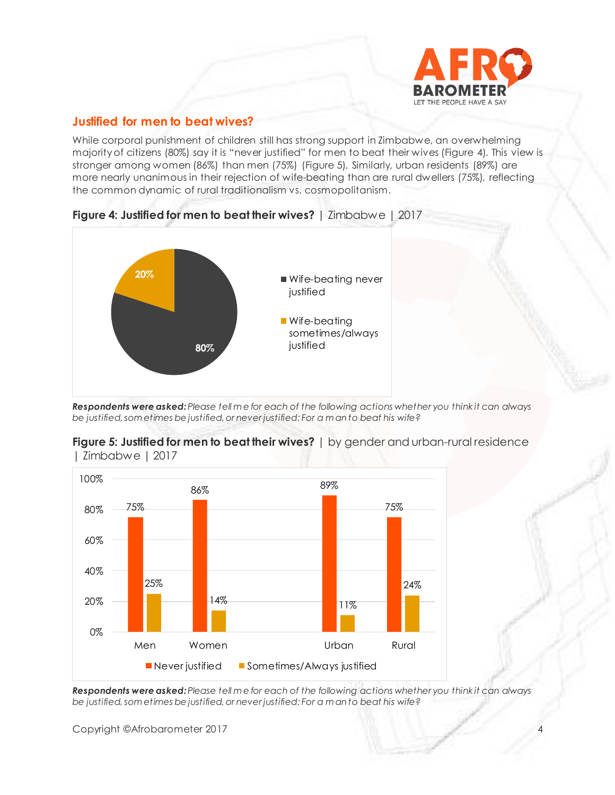

## **Justified for men to beat wives?**

While corporal punishment of children still has strong support in Zimbabwe, an overwhelming majority of citizens (80%) say it is "never justified" for men to beat their wives (Figure 4). This view is stronger among women (86%) than men (75%) (Figure 5). Similarly, urban residents (89%) are more nearly unanimous in their rejection of wife-beating than are rural dwellers (75%), reflecting the common dynamic of rural traditionalism vs. cosmopolitanism.



**Figure 4: Justified for men to beat their wives?** | Zimbabwe | 2017

*Respondents were asked: Please tell m e for each of the following actions whether you think it can always be justified, som etimes be justified, or never justified: For a m an to beat his wife?*





*Respondents were asked: Please tell m e for each of the following actions whether you think it can always be justified, som etimes be justified, or never justified: For a m an to beat his wife?*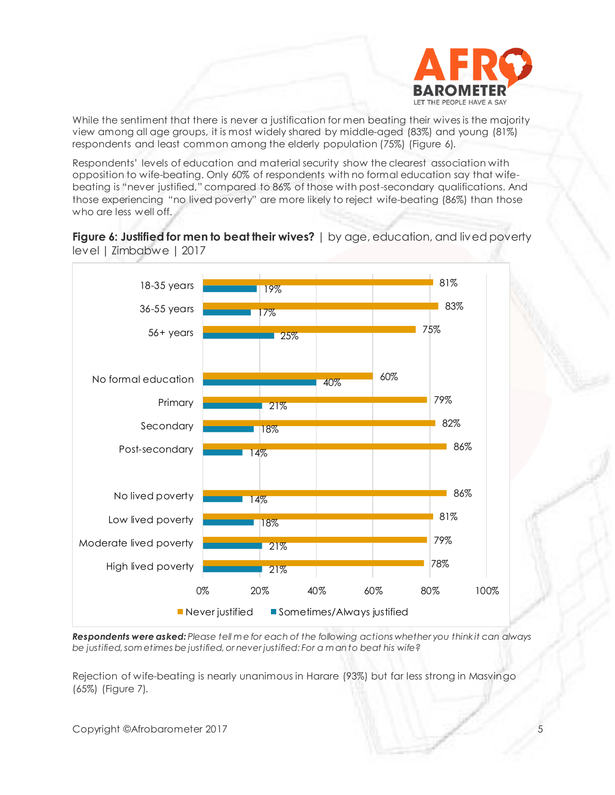

While the sentiment that there is never a justification for men beating their wives is the majority view among all age groups, it is most widely shared by middle-aged (83%) and young (81%) respondents and least common among the elderly population (75%) (Figure 6).

Respondents' levels of education and material security show the clearest association with opposition to wife-beating. Only 60% of respondents with no formal education say that wifebeating is "never justified," compared to 86% of those with post-secondary qualifications. And those experiencing "no lived poverty" are more likely to reject wife-beating (86%) than those who are less well off.





*Respondents were asked: Please tell m e for each of the following actions whether you think it can always be justified, som etimes be justified, or never justified: For a m an to beat his wife?*

Rejection of wife-beating is nearly unanimous in Harare (93%) but far less strong in Masvingo (65%) (Figure 7).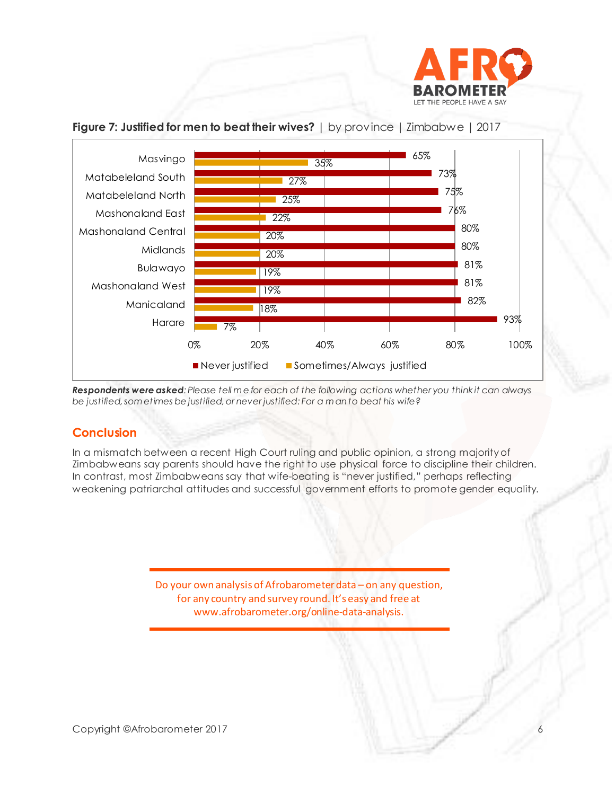



## **Figure 7: Justified for men to beat their wives?** | by province | Zimbabwe | 2017

*Respondents were asked: Please tell m e for each of the following actions whether you think it can always be justified, som etimes be justified, or never justified: For a m an to beat his wife?*

# **Conclusion**

In a mismatch between a recent High Court ruling and public opinion, a strong majority of Zimbabweans say parents should have the right to use physical force to discipline their children. In contrast, most Zimbabweans say that wife-beating is "never justified," perhaps reflecting weakening patriarchal attitudes and successful government efforts to promote gender equality.

> Do your own analysis of Afrobarometer data – on any question, for any country and survey round. It's easy and free at www.afrobarometer.org/online-data-analysis.